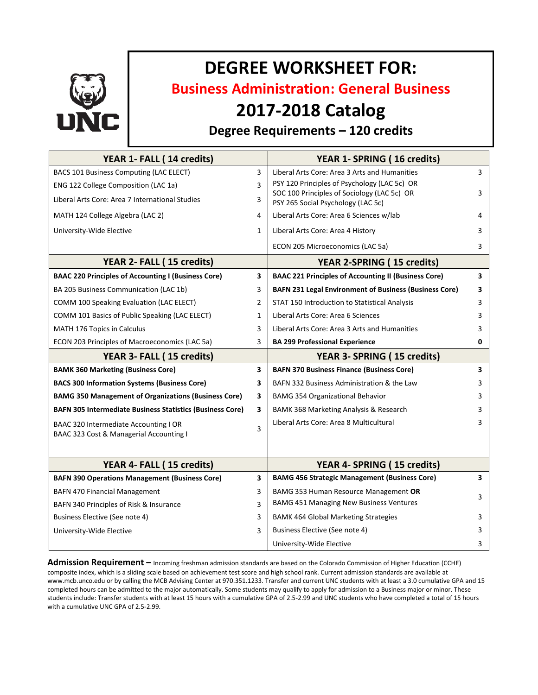

# **DEGREE WORKSHEET FOR:**

**Business Administration: General Business**

## **2017-2018 Catalog**

### **Degree Requirements – 120 credits**

| YEAR 1- FALL (14 credits)                                        |                         | YEAR 1- SPRING (16 credits)                                                                                                       |   |
|------------------------------------------------------------------|-------------------------|-----------------------------------------------------------------------------------------------------------------------------------|---|
| BACS 101 Business Computing (LAC ELECT)                          | 3                       | Liberal Arts Core: Area 3 Arts and Humanities                                                                                     | 3 |
| ENG 122 College Composition (LAC 1a)                             | 3                       | PSY 120 Principles of Psychology (LAC 5c) OR<br>SOC 100 Principles of Sociology (LAC 5c) OR<br>PSY 265 Social Psychology (LAC 5c) |   |
| Liberal Arts Core: Area 7 International Studies                  | 3                       |                                                                                                                                   | 3 |
| MATH 124 College Algebra (LAC 2)                                 | 4                       | Liberal Arts Core: Area 6 Sciences w/lab                                                                                          | 4 |
| University-Wide Elective                                         | $\mathbf{1}$            | Liberal Arts Core: Area 4 History                                                                                                 | 3 |
|                                                                  |                         | ECON 205 Microeconomics (LAC 5a)                                                                                                  | 3 |
| YEAR 2- FALL (15 credits)                                        |                         | <b>YEAR 2-SPRING (15 credits)</b>                                                                                                 |   |
| <b>BAAC 220 Principles of Accounting I (Business Core)</b>       | 3                       | <b>BAAC 221 Principles of Accounting II (Business Core)</b>                                                                       | 3 |
| BA 205 Business Communication (LAC 1b)                           | 3                       | <b>BAFN 231 Legal Environment of Business (Business Core)</b>                                                                     | 3 |
| COMM 100 Speaking Evaluation (LAC ELECT)                         | 2                       | STAT 150 Introduction to Statistical Analysis                                                                                     | 3 |
| COMM 101 Basics of Public Speaking (LAC ELECT)                   | $\mathbf{1}$            | Liberal Arts Core: Area 6 Sciences                                                                                                | 3 |
| <b>MATH 176 Topics in Calculus</b>                               | 3                       | Liberal Arts Core: Area 3 Arts and Humanities                                                                                     | 3 |
| ECON 203 Principles of Macroeconomics (LAC 5a)                   | 3                       | <b>BA 299 Professional Experience</b>                                                                                             | 0 |
| YEAR 3- FALL (15 credits)                                        |                         | YEAR 3- SPRING (15 credits)                                                                                                       |   |
| <b>BAMK 360 Marketing (Business Core)</b>                        | 3                       | <b>BAFN 370 Business Finance (Business Core)</b>                                                                                  | 3 |
| <b>BACS 300 Information Systems (Business Core)</b>              | 3                       | BAFN 332 Business Administration & the Law                                                                                        | 3 |
| <b>BAMG 350 Management of Organizations (Business Core)</b>      | 3                       | <b>BAMG 354 Organizational Behavior</b>                                                                                           | 3 |
| <b>BAFN 305 Intermediate Business Statistics (Business Core)</b> | 3                       | BAMK 368 Marketing Analysis & Research                                                                                            | 3 |
| BAAC 320 Intermediate Accounting I OR                            | 3                       | Liberal Arts Core: Area 8 Multicultural                                                                                           | 3 |
| BAAC 323 Cost & Managerial Accounting I                          |                         |                                                                                                                                   |   |
|                                                                  |                         |                                                                                                                                   |   |
| YEAR 4- FALL (15 credits)                                        |                         | YEAR 4- SPRING (15 credits)                                                                                                       |   |
| <b>BAFN 390 Operations Management (Business Core)</b>            | $\overline{\mathbf{3}}$ | <b>BAMG 456 Strategic Management (Business Core)</b>                                                                              | 3 |
| <b>BAFN 470 Financial Management</b>                             | 3                       | BAMG 353 Human Resource Management OR                                                                                             | 3 |
| BAFN 340 Principles of Risk & Insurance                          | 3                       | <b>BAMG 451 Managing New Business Ventures</b>                                                                                    |   |
| Business Elective (See note 4)                                   | 3                       | <b>BAMK 464 Global Marketing Strategies</b>                                                                                       | 3 |
| University-Wide Elective                                         | 3                       | Business Elective (See note 4)                                                                                                    | 3 |
|                                                                  |                         |                                                                                                                                   |   |

**Admission Requirement –** Incoming freshman admission standards are based on the Colorado Commission of Higher Education (CCHE) composite index, which is a sliding scale based on achievement test score and high school rank. Current admission standards are available at www.mcb.unco.edu or by calling the MCB Advising Center at 970.351.1233. Transfer and current UNC students with at least a 3.0 cumulative GPA and 15 completed hours can be admitted to the major automatically. Some students may qualify to apply for admission to a Business major or minor. These students include: Transfer students with at least 15 hours with a cumulative GPA of 2.5-2.99 and UNC students who have completed a total of 15 hours with a cumulative UNC GPA of 2.5-2.99.